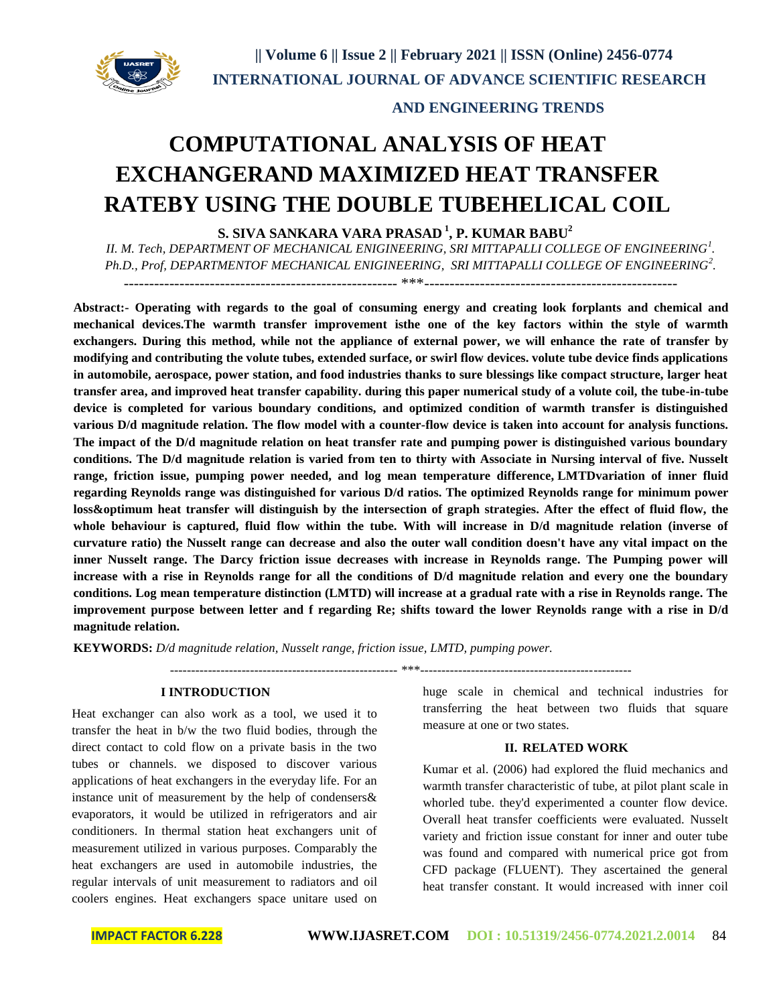

# **COMPUTATIONAL ANALYSIS OF HEAT EXCHANGERAND MAXIMIZED HEAT TRANSFER RATEBY USING THE DOUBLE TUBEHELICAL COIL**

**S. SIVA SANKARA VARA PRASAD <sup>1</sup> , P. KUMAR BABU<sup>2</sup>**

*II. M. Tech, DEPARTMENT OF MECHANICAL ENIGINEERING, SRI MITTAPALLI COLLEGE OF ENGINEERING<sup>1</sup> . Ph.D., Prof, DEPARTMENTOF MECHANICAL ENIGINEERING, SRI MITTAPALLI COLLEGE OF ENGINEERING<sup>2</sup> .*

------------------------------------------------------ \*\*\*--------------------------------------------------

**Abstract:- Operating with regards to the goal of consuming energy and creating look forplants and chemical and mechanical devices.The warmth transfer improvement isthe one of the key factors within the style of warmth exchangers. During this method, while not the appliance of external power, we will enhance the rate of transfer by modifying and contributing the volute tubes, extended surface, or swirl flow devices. volute tube device finds applications in automobile, aerospace, power station, and food industries thanks to sure blessings like compact structure, larger heat transfer area, and improved heat transfer capability. during this paper numerical study of a volute coil, the tube-in-tube device is completed for various boundary conditions, and optimized condition of warmth transfer is distinguished**  various D/d magnitude relation. The flow model with a counter-flow device is taken into account for analysis functions. **The impact of the D/d magnitude relation on heat transfer rate and pumping power is distinguished various boundary conditions. The D/d magnitude relation is varied from ten to thirty with Associate in Nursing interval of five. Nusselt range, friction issue, pumping power needed, and log mean temperature difference, LMTDvariation of inner fluid regarding Reynolds range was distinguished for various D/d ratios. The optimized Reynolds range for minimum power loss&optimum heat transfer will distinguish by the intersection of graph strategies. After the effect of fluid flow, the whole behaviour is captured, fluid flow within the tube. With will increase in D/d magnitude relation (inverse of curvature ratio) the Nusselt range can decrease and also the outer wall condition doesn't have any vital impact on the inner Nusselt range. The Darcy friction issue decreases with increase in Reynolds range. The Pumping power will increase with a rise in Reynolds range for all the conditions of D/d magnitude relation and every one the boundary conditions. Log mean temperature distinction (LMTD) will increase at a gradual rate with a rise in Reynolds range. The improvement purpose between letter and f regarding Re; shifts toward the lower Reynolds range with a rise in D/d magnitude relation.** 

**KEYWORDS:** *D/d magnitude relation, Nusselt range, friction issue, LMTD, pumping power.*

------------------------------------------------------ \*\*\*--------------------------------------------------

#### **I INTRODUCTION**

Heat exchanger can also work as a tool, we used it to transfer the heat in b/w the two fluid bodies, through the direct contact to cold flow on a private basis in the two tubes or channels. we disposed to discover various applications of heat exchangers in the everyday life. For an instance unit of measurement by the help of condensers& evaporators, it would be utilized in refrigerators and air conditioners. In thermal station heat exchangers unit of measurement utilized in various purposes. Comparably the heat exchangers are used in automobile industries, the regular intervals of unit measurement to radiators and oil coolers engines. Heat exchangers space unitare used on

huge scale in chemical and technical industries for transferring the heat between two fluids that square measure at one or two states.

#### **II. RELATED WORK**

Kumar et al. (2006) had explored the fluid mechanics and warmth transfer characteristic of tube, at pilot plant scale in whorled tube. they'd experimented a counter flow device. Overall heat transfer coefficients were evaluated. Nusselt variety and friction issue constant for inner and outer tube was found and compared with numerical price got from CFD package (FLUENT). They ascertained the general heat transfer constant. It would increased with inner coil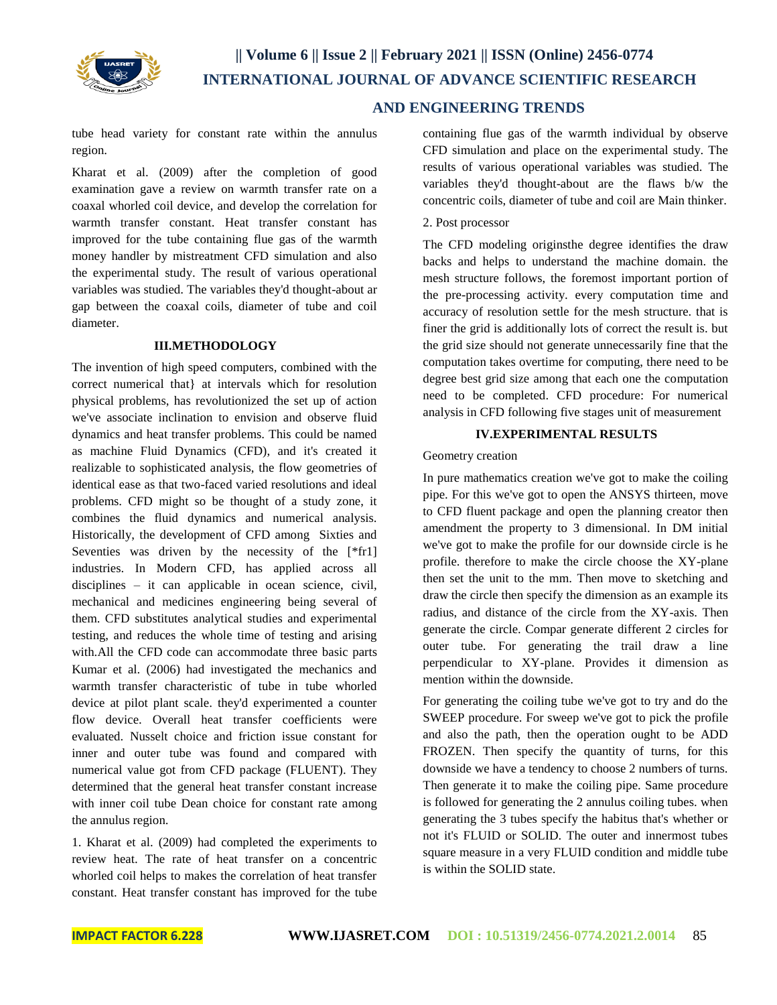

tube head variety for constant rate within the annulus region.

Kharat et al. (2009) after the completion of good examination gave a review on warmth transfer rate on a coaxal whorled coil device, and develop the correlation for warmth transfer constant. Heat transfer constant has improved for the tube containing flue gas of the warmth money handler by mistreatment CFD simulation and also the experimental study. The result of various operational variables was studied. The variables they'd thought-about ar gap between the coaxal coils, diameter of tube and coil diameter.

#### **III.METHODOLOGY**

The invention of high speed computers, combined with the correct numerical that} at intervals which for resolution physical problems, has revolutionized the set up of action we've associate inclination to envision and observe fluid dynamics and heat transfer problems. This could be named as machine Fluid Dynamics (CFD), and it's created it realizable to sophisticated analysis, the flow geometries of identical ease as that two-faced varied resolutions and ideal problems. CFD might so be thought of a study zone, it combines the fluid dynamics and numerical analysis. Historically, the development of CFD among Sixties and Seventies was driven by the necessity of the [\*fr1] industries. In Modern CFD, has applied across all disciplines – it can applicable in ocean science, civil, mechanical and medicines engineering being several of them. CFD substitutes analytical studies and experimental testing, and reduces the whole time of testing and arising with.All the CFD code can accommodate three basic parts Kumar et al. (2006) had investigated the mechanics and warmth transfer characteristic of tube in tube whorled device at pilot plant scale. they'd experimented a counter flow device. Overall heat transfer coefficients were evaluated. Nusselt choice and friction issue constant for inner and outer tube was found and compared with numerical value got from CFD package (FLUENT). They determined that the general heat transfer constant increase with inner coil tube Dean choice for constant rate among the annulus region.

1. Kharat et al. (2009) had completed the experiments to review heat. The rate of heat transfer on a concentric whorled coil helps to makes the correlation of heat transfer constant. Heat transfer constant has improved for the tube

containing flue gas of the warmth individual by observe CFD simulation and place on the experimental study. The results of various operational variables was studied. The variables they'd thought-about are the flaws b/w the concentric coils, diameter of tube and coil are Main thinker.

#### 2. Post processor

The CFD modeling originsthe degree identifies the draw backs and helps to understand the machine domain. the mesh structure follows, the foremost important portion of the pre-processing activity. every computation time and accuracy of resolution settle for the mesh structure. that is finer the grid is additionally lots of correct the result is. but the grid size should not generate unnecessarily fine that the computation takes overtime for computing, there need to be degree best grid size among that each one the computation need to be completed. CFD procedure: For numerical analysis in CFD following five stages unit of measurement

### **IV.EXPERIMENTAL RESULTS**

Geometry creation

In pure mathematics creation we've got to make the coiling pipe. For this we've got to open the ANSYS thirteen, move to CFD fluent package and open the planning creator then amendment the property to 3 dimensional. In DM initial we've got to make the profile for our downside circle is he profile. therefore to make the circle choose the XY-plane then set the unit to the mm. Then move to sketching and draw the circle then specify the dimension as an example its radius, and distance of the circle from the XY-axis. Then generate the circle. Compar generate different 2 circles for outer tube. For generating the trail draw a line perpendicular to XY-plane. Provides it dimension as mention within the downside.

For generating the coiling tube we've got to try and do the SWEEP procedure. For sweep we've got to pick the profile and also the path, then the operation ought to be ADD FROZEN. Then specify the quantity of turns, for this downside we have a tendency to choose 2 numbers of turns. Then generate it to make the coiling pipe. Same procedure is followed for generating the 2 annulus coiling tubes. when generating the 3 tubes specify the habitus that's whether or not it's FLUID or SOLID. The outer and innermost tubes square measure in a very FLUID condition and middle tube is within the SOLID state.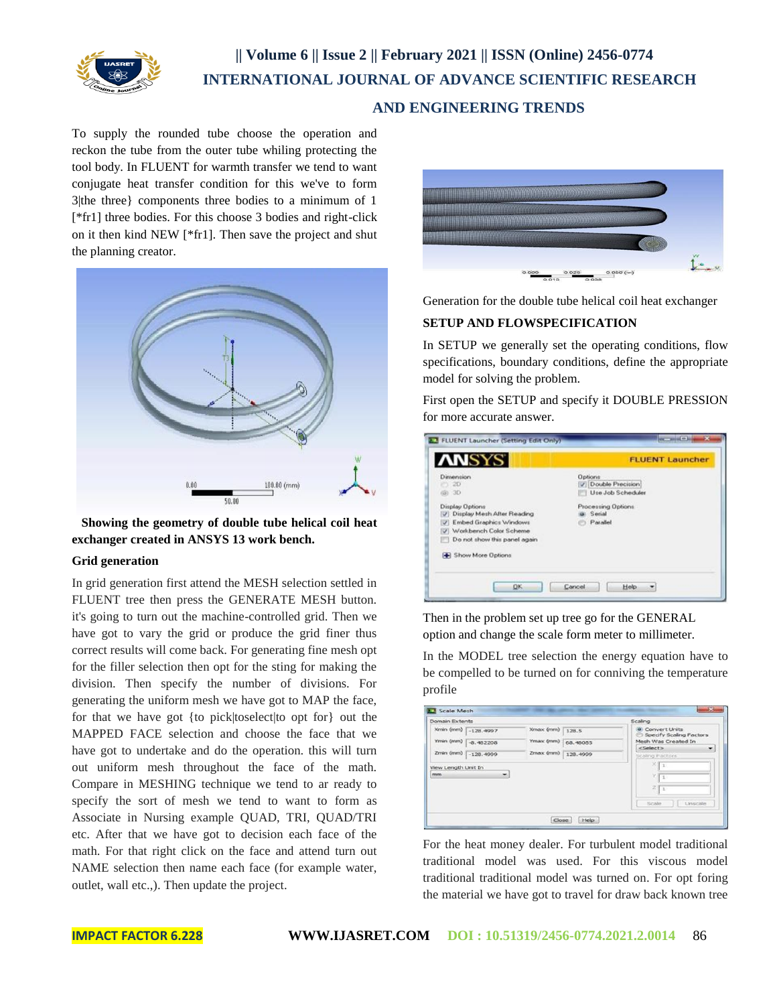

# **|| Volume 6 || Issue 2 || February 2021 || ISSN (Online) 2456-0774 INTERNATIONAL JOURNAL OF ADVANCE SCIENTIFIC RESEARCH AND ENGINEERING TRENDS**

To supply the rounded tube choose the operation and reckon the tube from the outer tube whiling protecting the tool body. In FLUENT for warmth transfer we tend to want conjugate heat transfer condition for this we've to form 3|the three} components three bodies to a minimum of 1 [\*fr1] three bodies. For this choose 3 bodies and right-click on it then kind NEW [\*fr1]. Then save the project and shut the planning creator.



 **Showing the geometry of double tube helical coil heat exchanger created in ANSYS 13 work bench.**

#### **Grid generation**

In grid generation first attend the MESH selection settled in FLUENT tree then press the GENERATE MESH button. it's going to turn out the machine-controlled grid. Then we have got to vary the grid or produce the grid finer thus correct results will come back. For generating fine mesh opt for the filler selection then opt for the sting for making the division. Then specify the number of divisions. For generating the uniform mesh we have got to MAP the face, for that we have got {to pick|toselect|to opt for} out the MAPPED FACE selection and choose the face that we have got to undertake and do the operation. this will turn out uniform mesh throughout the face of the math. Compare in MESHING technique we tend to ar ready to specify the sort of mesh we tend to want to form as Associate in Nursing example QUAD, TRI, QUAD/TRI etc. After that we have got to decision each face of the math. For that right click on the face and attend turn out NAME selection then name each face (for example water, outlet, wall etc.,). Then update the project.



Generation for the double tube helical coil heat exchanger

#### **SETUP AND FLOWSPECIFICATION**

In SETUP we generally set the operating conditions, flow specifications, boundary conditions, define the appropriate model for solving the problem.

First open the SETUP and specify it DOUBLE PRESSION for more accurate answer.

| Dimension.<br>$-2D$<br>(@) 3D<br>Display Options<br>7 Display Mesh After Reading<br>V Embed Graphics Windows<br>VI Workbench Color Scheme<br>Do not show this panel again<br>Show More Options | Options<br><b>J</b> Double Precision<br>Use Job Scheduler<br>Processing Options<br>Serial<br>Parallel |  |  |
|------------------------------------------------------------------------------------------------------------------------------------------------------------------------------------------------|-------------------------------------------------------------------------------------------------------|--|--|

Then in the problem set up tree go for the GENERAL option and change the scale form meter to millimeter.

In the MODEL tree selection the energy equation have to be compelled to be turned on for conniving the temperature profile

| Domain Extents            |                     |           |          | Scaling                                           |
|---------------------------|---------------------|-----------|----------|---------------------------------------------------|
|                           | Kmin (mm) -128.4997 | Xmax (mm) | 128.5    | <b>a</b> Convert Units<br>Specify Scaling Factors |
|                           | Ymin (mm) 3,482208  | Ymax (mm) | 68,48085 | Mesh Was Created In<br><select><br/>₹</select>    |
|                           | Zmin (mm) -128.4999 | Zmax (mm) | 128.4999 | Scaling Pactors                                   |
| View Length Unit In<br>mm | ۰                   |           |          | $X_{1}$<br>×                                      |
|                           |                     |           |          | $10 - 10$<br>z                                    |
|                           |                     |           |          |                                                   |
|                           |                     |           |          | 1                                                 |

For the heat money dealer. For turbulent model traditional traditional model was used. For this viscous model traditional traditional model was turned on. For opt foring the material we have got to travel for draw back known tree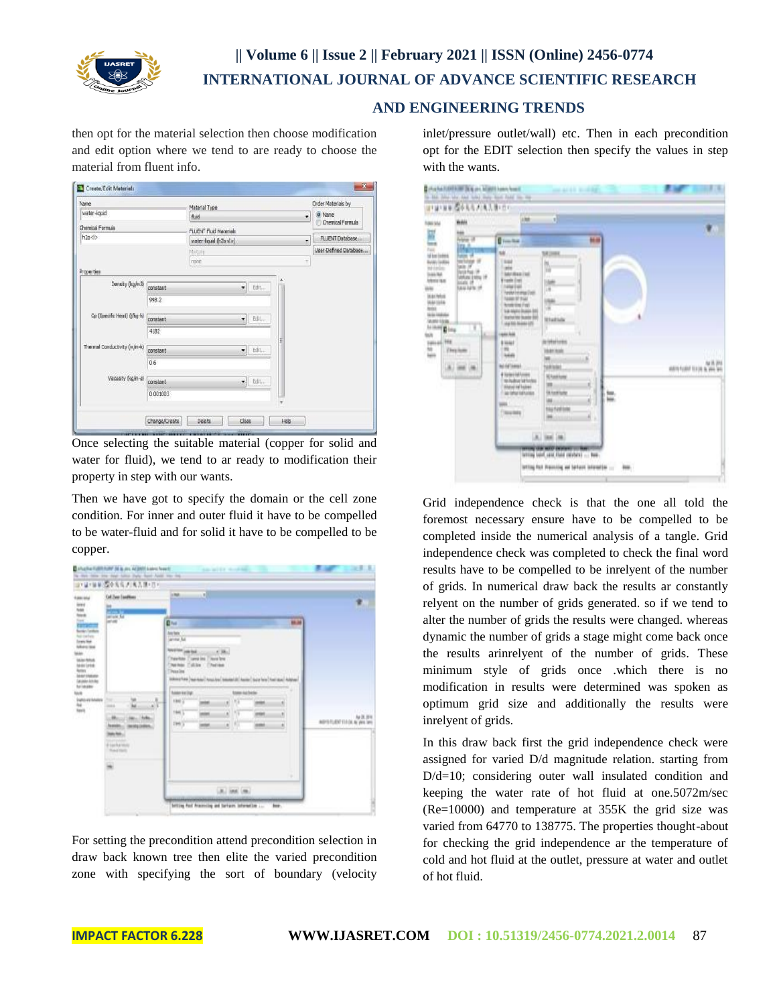

then opt for the material selection then choose modification and edit option where we tend to are ready to choose the material from fluent info.

| Name                             |                       | Material Type                                             |            |                       | Order Materials by |
|----------------------------------|-----------------------|-----------------------------------------------------------|------------|-----------------------|--------------------|
| water-liquid<br>Chemical Formula |                       | fluid<br>٠                                                |            |                       | a Name             |
|                                  |                       | <b>FLUENT Fluid Materials</b>                             |            | Chemical Formula      |                    |
| h2n <sub>5</sub>                 |                       | water-loud (h2o <l>)<br/>۰<br/>Mixture<br/>¥<br/>none</l> |            | FLUENT Database       |                    |
|                                  |                       |                                                           |            | User-Defined Database |                    |
|                                  |                       |                                                           |            |                       |                    |
| Properties                       |                       |                                                           |            |                       |                    |
| Density (kg/m3)                  | constant              |                                                           | Edit<br>٠  |                       |                    |
| 998.2                            |                       |                                                           |            |                       |                    |
| Cp (Specific Heat) (J/kg-k)      | Eth.<br>constant<br>٠ |                                                           |            |                       |                    |
| 4182                             |                       |                                                           |            |                       |                    |
| Thermal Conductivity (w/m-k)     | constant              | Edit<br>٠                                                 |            |                       |                    |
|                                  | 0.6                   |                                                           |            |                       |                    |
| Viscosity (kg/m-s)               | constant              |                                                           | Edit<br>¥. |                       |                    |
|                                  | 0.001003              |                                                           |            |                       |                    |
|                                  | Change/Create         | Delete                                                    | Close      | Help                  |                    |

Once selecting the suitable material (copper for solid and water for fluid), we tend to ar ready to modification their property in step with our wants.

Then we have got to specify the domain or the cell zone condition. For inner and outer fluid it have to be compelled to be water-fluid and for solid it have to be compelled to be copper.

| <b><i><u>tamata</u></i></b>                                                                                                                                                                                                  | <b>Coll Theat Conditions</b><br>Þ                                                                                                   | -11<br>Litted.                                                                                                                                                                                                                                                                                                                                                                                         | т.                                                        |
|------------------------------------------------------------------------------------------------------------------------------------------------------------------------------------------------------------------------------|-------------------------------------------------------------------------------------------------------------------------------------|--------------------------------------------------------------------------------------------------------------------------------------------------------------------------------------------------------------------------------------------------------------------------------------------------------------------------------------------------------------------------------------------------------|-----------------------------------------------------------|
| E<br>Em<br><b>Auto Lan Tarry</b><br>Irente<br><b>Messias</b><br>tales'<br><b>Markha</b><br>MAILINE<br><b>Select</b><br><b>MAY DAKAR</b><br><b>Leuskelande</b><br>triage<br>tivit<br>Patro estabales<br>Ref<br>Territ<br>ra e | ×<br>m<br>w<br>Jan. Holey<br>×<br><b><i>SAMA</i></b><br><b>Heids Delive</b><br>Market L.<br><b>E car ke terro</b><br>The Chief<br>ŵ | 目に<br><b>Jane Reday</b><br>arms full<br><b>RESTRICTION</b><br>$-1.36$<br><b>Chevisto I'uma ins I'lora law</b><br>The Nor Collins - Churina<br>Three line<br>Witness Law Haw And Louis Line Connecticut Assiss Court Services (Address)<br>town no bear<br><b>Tubble Will Digt</b><br>1300 (2)<br>V3<br>m<br>m<br>1941)<br>19<br><b>HOLD</b><br>×<br>俳<br><b>THIS 3</b><br>ś<br>and<br>ś<br><b>HEAR</b> | 89.38<br>me<br>Aa 28, 3916<br>AGYER/JENT 11-14, N. WA 144 |
|                                                                                                                                                                                                                              |                                                                                                                                     | ٠<br>Like Lincol Cree.                                                                                                                                                                                                                                                                                                                                                                                 |                                                           |

For setting the precondition attend precondition selection in draw back known tree then elite the varied precondition zone with specifying the sort of boundary (velocity

inlet/pressure outlet/wall) etc. Then in each precondition opt for the EDIT selection then specify the values in step with the wants.

|                                                                                                                                                                                                                                                                                                                                                       | <b>Weith!</b>                                                                                                                                                    | J<br>188                                                                                                                                                                                                                                                                                                                                                                                                                                                                                                                                                                                                                                                                                                                 |                          |
|-------------------------------------------------------------------------------------------------------------------------------------------------------------------------------------------------------------------------------------------------------------------------------------------------------------------------------------------------------|------------------------------------------------------------------------------------------------------------------------------------------------------------------|--------------------------------------------------------------------------------------------------------------------------------------------------------------------------------------------------------------------------------------------------------------------------------------------------------------------------------------------------------------------------------------------------------------------------------------------------------------------------------------------------------------------------------------------------------------------------------------------------------------------------------------------------------------------------------------------------------------------------|--------------------------|
| II<br><b>Ministers</b><br>Bylin (with)<br>NY FIFEES<br><b>Sale Rd</b><br>Ministras<br><b>Harlyfyll</b><br>MARING<br><b>Robins</b><br><b>Mile Industry</b><br><b>VAND SAW</b><br>$\begin{array}{c c c c c} \hline 0 & 0 & 0 & 0 \\ \hline 0 & 0 & 0 & 0 \\ \hline 0 & 0 & 0 & 0 \\ \hline 0 & 0 & 0 & 0 \\ \hline 0 & 0 & 0 & 0 \\ \hline \end{array}$ | 篇<br>habe ye.<br>Wikipedia<br>tele I<br><b>Justin Post</b> 199<br><b>JARUNI ENTIS TR</b><br><b>SGES 19</b><br><b><i>SAM INTO 19</i></b><br>k<br><b>They form</b> | <b>Director</b><br><b>Milled</b><br>NH<br><b>SR (1484)</b><br>TRAF<br>b)<br><b>MA</b><br>TRAFFICATION<br><b>E</b> tade (m)<br><b>Lake</b><br><b>TANK EARL</b><br>и<br>Forest Female (1997)<br>NAMERIA<br>ш<br><b>Andrésis</b> Fast<br>×<br>Val Mahil Busine (M)<br>Warrantee Incenter (M)<br>Logo Mili Angeler (M)<br><b>Whatfolk</b><br>gain Judé<br><i>italians</i><br><b>B</b> Weight<br>m<br><b>Idam</b> hour<br><b>MA</b><br><b>Not Find To demand</b><br>senant.<br># Xalent Inf Forest<br><b>Nikeline</b><br>to hubur latining<br>8<br>m<br><b>Aluted Hell Tabler</b><br>IT AN ORIGINAL PARTNERS<br><b>Skilled Suite</b><br>ä<br>ш<br>ш<br>m<br><b><i><u>NUMBAR</u></i></b><br><b>Floor miles</b><br>¥,<br>ш<br>٠ | ANTI FURIT 133 (ALB) WAS |
|                                                                                                                                                                                                                                                                                                                                                       |                                                                                                                                                                  | $A$ , last $\vert$ m.)                                                                                                                                                                                                                                                                                                                                                                                                                                                                                                                                                                                                                                                                                                   |                          |

Grid independence check is that the one all told the foremost necessary ensure have to be compelled to be completed inside the numerical analysis of a tangle. Grid independence check was completed to check the final word results have to be compelled to be inrelyent of the number of grids. In numerical draw back the results ar constantly relyent on the number of grids generated. so if we tend to alter the number of grids the results were changed. whereas dynamic the number of grids a stage might come back once the results arinrelyent of the number of grids. These minimum style of grids once .which there is no modification in results were determined was spoken as optimum grid size and additionally the results were inrelyent of grids.

In this draw back first the grid independence check were assigned for varied D/d magnitude relation. starting from D/d=10; considering outer wall insulated condition and keeping the water rate of hot fluid at one.5072m/sec (Re=10000) and temperature at 355K the grid size was varied from 64770 to 138775. The properties thought-about for checking the grid independence ar the temperature of cold and hot fluid at the outlet, pressure at water and outlet of hot fluid.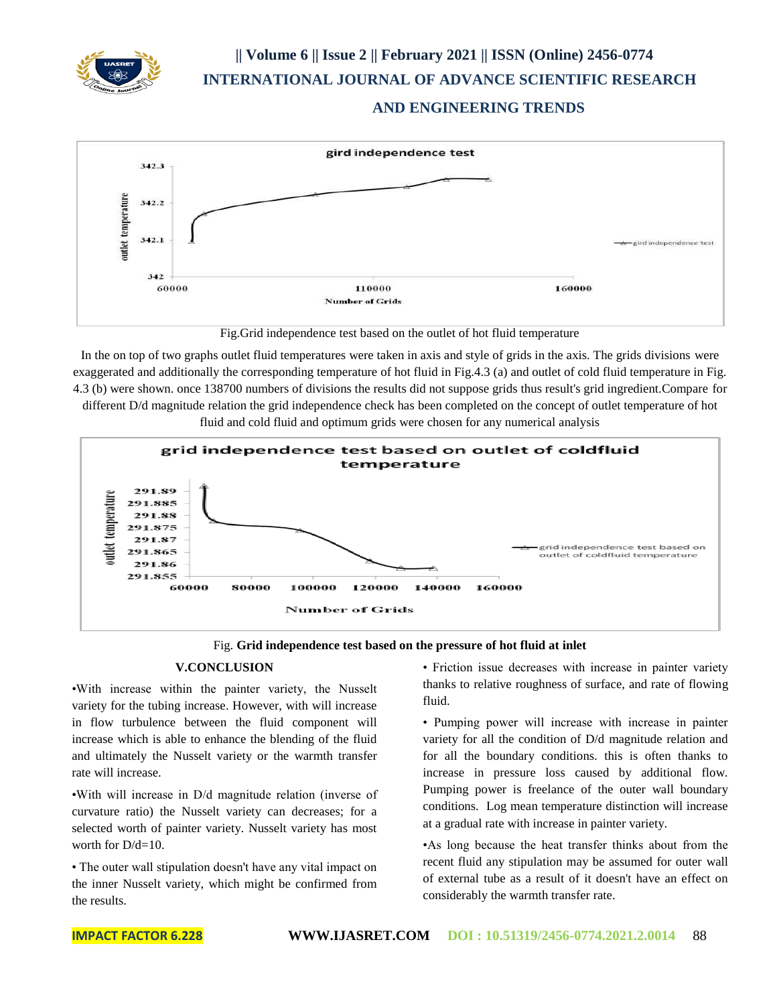





Fig.Grid independence test based on the outlet of hot fluid temperature

In the on top of two graphs outlet fluid temperatures were taken in axis and style of grids in the axis. The grids divisions were exaggerated and additionally the corresponding temperature of hot fluid in Fig.4.3 (a) and outlet of cold fluid temperature in Fig. 4.3 (b) were shown. once 138700 numbers of divisions the results did not suppose grids thus result's grid ingredient.Compare for different D/d magnitude relation the grid independence check has been completed on the concept of outlet temperature of hot fluid and cold fluid and optimum grids were chosen for any numerical analysis





#### **V.CONCLUSION**

•With increase within the painter variety, the Nusselt variety for the tubing increase. However, with will increase in flow turbulence between the fluid component will increase which is able to enhance the blending of the fluid and ultimately the Nusselt variety or the warmth transfer rate will increase.

•With will increase in D/d magnitude relation (inverse of curvature ratio) the Nusselt variety can decreases; for a selected worth of painter variety. Nusselt variety has most worth for  $D/d=10$ .

• The outer wall stipulation doesn't have any vital impact on the inner Nusselt variety, which might be confirmed from the results.

• Friction issue decreases with increase in painter variety thanks to relative roughness of surface, and rate of flowing fluid.

• Pumping power will increase with increase in painter variety for all the condition of D/d magnitude relation and for all the boundary conditions. this is often thanks to increase in pressure loss caused by additional flow. Pumping power is freelance of the outer wall boundary conditions. Log mean temperature distinction will increase at a gradual rate with increase in painter variety.

•As long because the heat transfer thinks about from the recent fluid any stipulation may be assumed for outer wall of external tube as a result of it doesn't have an effect on considerably the warmth transfer rate.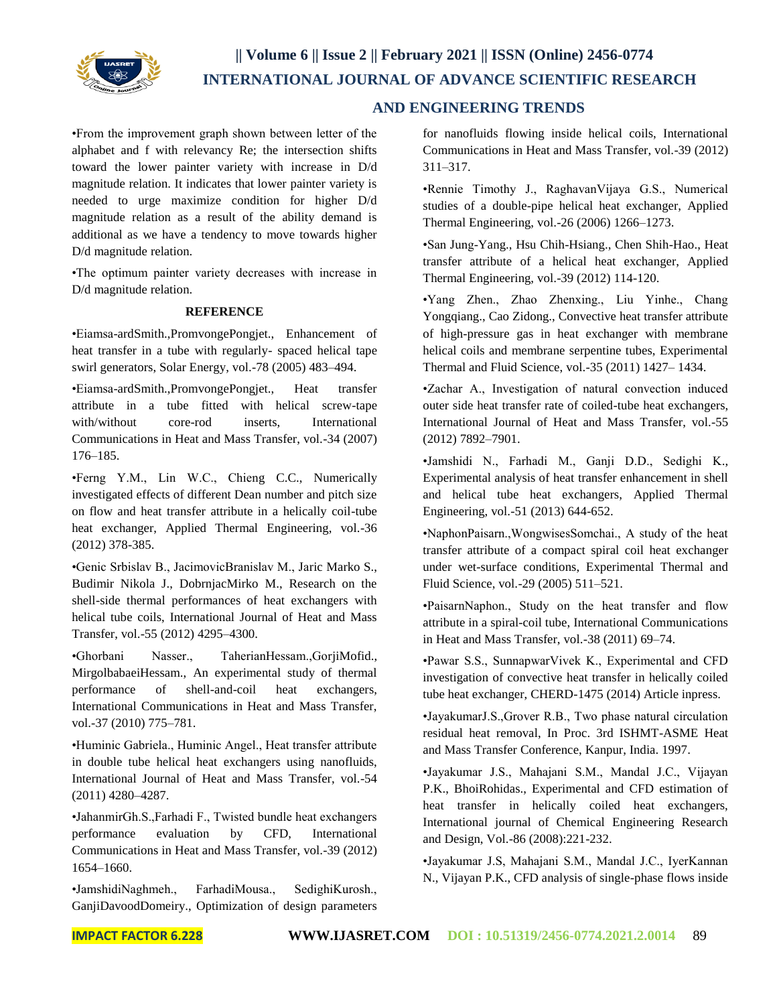

•From the improvement graph shown between letter of the alphabet and f with relevancy Re; the intersection shifts toward the lower painter variety with increase in D/d magnitude relation. It indicates that lower painter variety is needed to urge maximize condition for higher D/d magnitude relation as a result of the ability demand is additional as we have a tendency to move towards higher D/d magnitude relation.

•The optimum painter variety decreases with increase in D/d magnitude relation.

#### **REFERENCE**

•Eiamsa-ardSmith.,PromvongePongjet., Enhancement of heat transfer in a tube with regularly- spaced helical tape swirl generators, Solar Energy, vol.-78 (2005) 483–494.

•Eiamsa-ardSmith.,PromvongePongjet., Heat transfer attribute in a tube fitted with helical screw-tape with/without core-rod inserts. International Communications in Heat and Mass Transfer, vol.-34 (2007) 176–185.

•Ferng Y.M., Lin W.C., Chieng C.C., Numerically investigated effects of different Dean number and pitch size on flow and heat transfer attribute in a helically coil-tube heat exchanger, Applied Thermal Engineering, vol.-36 (2012) 378-385.

•Genic Srbislav B., JacimovicBranislav M., Jaric Marko S., Budimir Nikola J., DobrnjacMirko M., Research on the shell-side thermal performances of heat exchangers with helical tube coils, International Journal of Heat and Mass Transfer, vol.-55 (2012) 4295–4300.

•Ghorbani Nasser., TaherianHessam.,GorjiMofid., MirgolbabaeiHessam., An experimental study of thermal performance of shell-and-coil heat exchangers, International Communications in Heat and Mass Transfer, vol.-37 (2010) 775–781.

•Huminic Gabriela., Huminic Angel., Heat transfer attribute in double tube helical heat exchangers using nanofluids, International Journal of Heat and Mass Transfer, vol.-54 (2011) 4280–4287.

•JahanmirGh.S.,Farhadi F., Twisted bundle heat exchangers performance evaluation by CFD, International Communications in Heat and Mass Transfer, vol.-39 (2012) 1654–1660.

•JamshidiNaghmeh., FarhadiMousa., SedighiKurosh., GanjiDavoodDomeiry., Optimization of design parameters

for nanofluids flowing inside helical coils, International Communications in Heat and Mass Transfer, vol.-39 (2012) 311–317.

•Rennie Timothy J., RaghavanVijaya G.S., Numerical studies of a double-pipe helical heat exchanger, Applied Thermal Engineering, vol.-26 (2006) 1266–1273.

•San Jung-Yang., Hsu Chih-Hsiang., Chen Shih-Hao., Heat transfer attribute of a helical heat exchanger, Applied Thermal Engineering, vol.-39 (2012) 114-120.

•Yang Zhen., Zhao Zhenxing., Liu Yinhe., Chang Yongqiang., Cao Zidong., Convective heat transfer attribute of high-pressure gas in heat exchanger with membrane helical coils and membrane serpentine tubes, Experimental Thermal and Fluid Science, vol.-35 (2011) 1427– 1434.

•Zachar A., Investigation of natural convection induced outer side heat transfer rate of coiled-tube heat exchangers, International Journal of Heat and Mass Transfer, vol.-55 (2012) 7892–7901.

•Jamshidi N., Farhadi M., Ganji D.D., Sedighi K., Experimental analysis of heat transfer enhancement in shell and helical tube heat exchangers, Applied Thermal Engineering, vol.-51 (2013) 644-652.

•NaphonPaisarn.,WongwisesSomchai., A study of the heat transfer attribute of a compact spiral coil heat exchanger under wet-surface conditions, Experimental Thermal and Fluid Science, vol.-29 (2005) 511–521.

•PaisarnNaphon., Study on the heat transfer and flow attribute in a spiral-coil tube, International Communications in Heat and Mass Transfer, vol.-38 (2011) 69–74.

•Pawar S.S., SunnapwarVivek K., Experimental and CFD investigation of convective heat transfer in helically coiled tube heat exchanger, CHERD-1475 (2014) Article inpress.

•JayakumarJ.S.,Grover R.B., Two phase natural circulation residual heat removal, In Proc. 3rd ISHMT-ASME Heat and Mass Transfer Conference, Kanpur, India. 1997.

•Jayakumar J.S., Mahajani S.M., Mandal J.C., Vijayan P.K., BhoiRohidas., Experimental and CFD estimation of heat transfer in helically coiled heat exchangers, International journal of Chemical Engineering Research and Design, Vol.-86 (2008):221-232.

•Jayakumar J.S, Mahajani S.M., Mandal J.C., IyerKannan N., Vijayan P.K., CFD analysis of single-phase flows inside